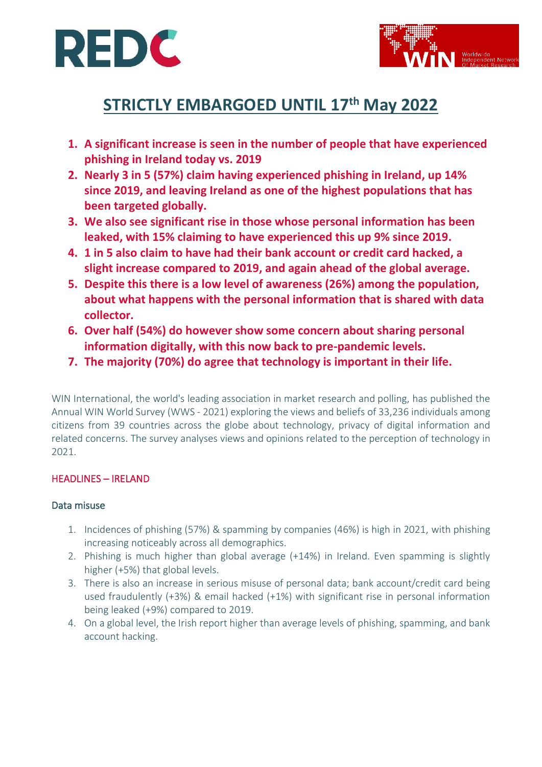



# **STRICTLY EMBARGOED UNTIL 17 th May 2022**

- **1. A significant increase is seen in the number of people that have experienced phishing in Ireland today vs. 2019**
- **2. Nearly 3 in 5 (57%) claim having experienced phishing in Ireland, up 14% since 2019, and leaving Ireland as one of the highest populations that has been targeted globally.**
- **3. We also see significant rise in those whose personal information has been leaked, with 15% claiming to have experienced this up 9% since 2019.**
- **4. 1 in 5 also claim to have had their bank account or credit card hacked, a slight increase compared to 2019, and again ahead of the global average.**
- **5. Despite this there is a low level of awareness (26%) among the population, about what happens with the personal information that is shared with data collector.**
- **6. Over half (54%) do however show some concern about sharing personal information digitally, with this now back to pre-pandemic levels.**
- **7. The majority (70%) do agree that technology is important in their life.**

WIN International, the world's leading association in market research and polling, has published the Annual WIN World Survey (WWS - 2021) exploring the views and beliefs of 33,236 individuals among citizens from 39 countries across the globe about technology, privacy of digital information and related concerns. The survey analyses views and opinions related to the perception of technology in 2021.

## HEADLINES – IRELAND

## Data misuse

- 1. Incidences of phishing (57%) & spamming by companies (46%) is high in 2021, with phishing increasing noticeably across all demographics.
- 2. Phishing is much higher than global average (+14%) in Ireland. Even spamming is slightly higher (+5%) that global levels.
- 3. There is also an increase in serious misuse of personal data; bank account/credit card being used fraudulently (+3%) & email hacked (+1%) with significant rise in personal information being leaked (+9%) compared to 2019.
- 4. On a global level, the Irish report higher than average levels of phishing, spamming, and bank account hacking.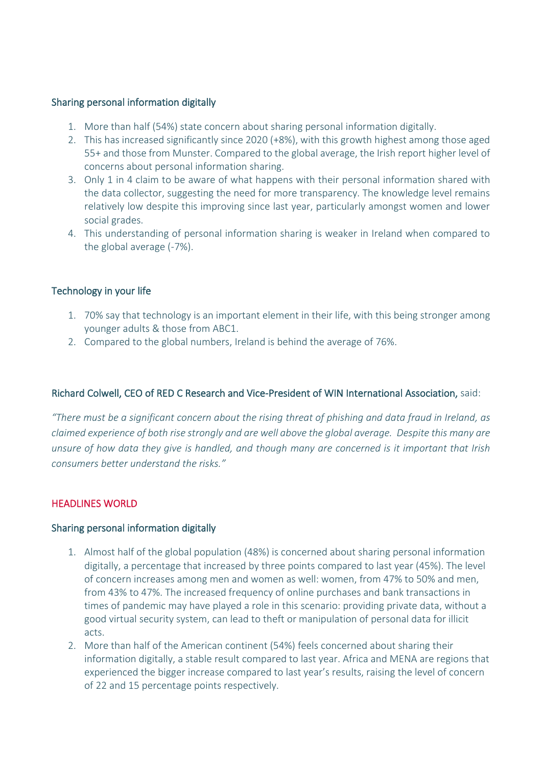#### Sharing personal information digitally

- 1. More than half (54%) state concern about sharing personal information digitally.
- 2. This has increased significantly since 2020 (+8%), with this growth highest among those aged 55+ and those from Munster. Compared to the global average, the Irish report higher level of concerns about personal information sharing.
- 3. Only 1 in 4 claim to be aware of what happens with their personal information shared with the data collector, suggesting the need for more transparency. The knowledge level remains relatively low despite this improving since last year, particularly amongst women and lower social grades.
- 4. This understanding of personal information sharing is weaker in Ireland when compared to the global average (-7%).

### Technology in your life

- 1. 70% say that technology is an important element in their life, with this being stronger among younger adults & those from ABC1.
- 2. Compared to the global numbers, Ireland is behind the average of 76%.

### Richard Colwell, CEO of RED C Research and Vice-President of WIN International Association, said:

*"There must be a significant concern about the rising threat of phishing and data fraud in Ireland, as claimed experience of both rise strongly and are well above the global average. Despite this many are unsure of how data they give is handled, and though many are concerned is it important that Irish consumers better understand the risks."*

## HEADLINES WORLD

#### Sharing personal information digitally

- 1. Almost half of the global population (48%) is concerned about sharing personal information digitally, a percentage that increased by three points compared to last year (45%). The level of concern increases among men and women as well: women, from 47% to 50% and men, from 43% to 47%. The increased frequency of online purchases and bank transactions in times of pandemic may have played a role in this scenario: providing private data, without a good virtual security system, can lead to theft or manipulation of personal data for illicit acts.
- 2. More than half of the American continent (54%) feels concerned about sharing their information digitally, a stable result compared to last year. Africa and MENA are regions that experienced the bigger increase compared to last year's results, raising the level of concern of 22 and 15 percentage points respectively.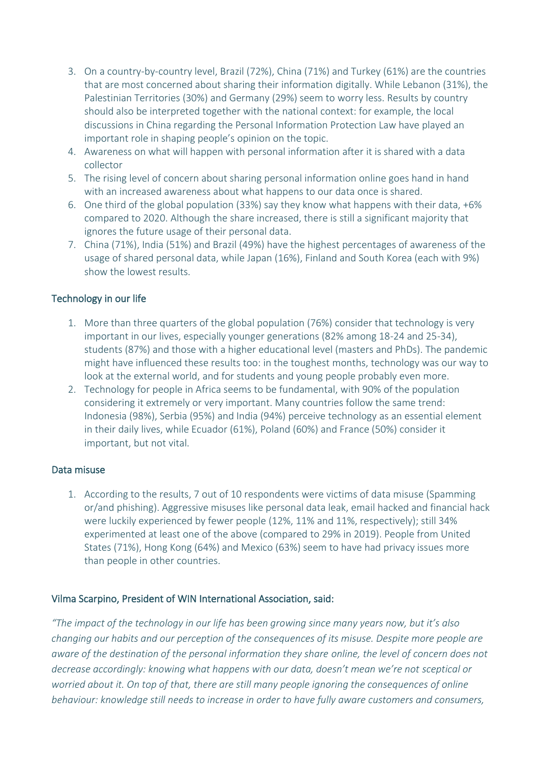- 3. On a country-by-country level, Brazil (72%), China (71%) and Turkey (61%) are the countries that are most concerned about sharing their information digitally. While Lebanon (31%), the Palestinian Territories (30%) and Germany (29%) seem to worry less. Results by country should also be interpreted together with the national context: for example, the local discussions in China regarding the Personal Information Protection Law have played an important role in shaping people's opinion on the topic.
- 4. Awareness on what will happen with personal information after it is shared with a data collector
- 5. The rising level of concern about sharing personal information online goes hand in hand with an increased awareness about what happens to our data once is shared.
- 6. One third of the global population (33%) say they know what happens with their data, +6% compared to 2020. Although the share increased, there is still a significant majority that ignores the future usage of their personal data.
- 7. China (71%), India (51%) and Brazil (49%) have the highest percentages of awareness of the usage of shared personal data, while Japan (16%), Finland and South Korea (each with 9%) show the lowest results.

## Technology in our life

- 1. More than three quarters of the global population (76%) consider that technology is very important in our lives, especially younger generations (82% among 18-24 and 25-34), students (87%) and those with a higher educational level (masters and PhDs). The pandemic might have influenced these results too: in the toughest months, technology was our way to look at the external world, and for students and young people probably even more.
- 2. Technology for people in Africa seems to be fundamental, with 90% of the population considering it extremely or very important. Many countries follow the same trend: Indonesia (98%), Serbia (95%) and India (94%) perceive technology as an essential element in their daily lives, while Ecuador (61%), Poland (60%) and France (50%) consider it important, but not vital.

## Data misuse

1. According to the results, 7 out of 10 respondents were victims of data misuse (Spamming or/and phishing). Aggressive misuses like personal data leak, email hacked and financial hack were luckily experienced by fewer people (12%, 11% and 11%, respectively); still 34% experimented at least one of the above (compared to 29% in 2019). People from United States (71%), Hong Kong (64%) and Mexico (63%) seem to have had privacy issues more than people in other countries.

## Vilma Scarpino, President of WIN International Association, said:

*"The impact of the technology in our life has been growing since many years now, but it's also changing our habits and our perception of the consequences of its misuse. Despite more people are aware of the destination of the personal information they share online, the level of concern does not decrease accordingly: knowing what happens with our data, doesn't mean we're not sceptical or worried about it. On top of that, there are still many people ignoring the consequences of online behaviour: knowledge still needs to increase in order to have fully aware customers and consumers,*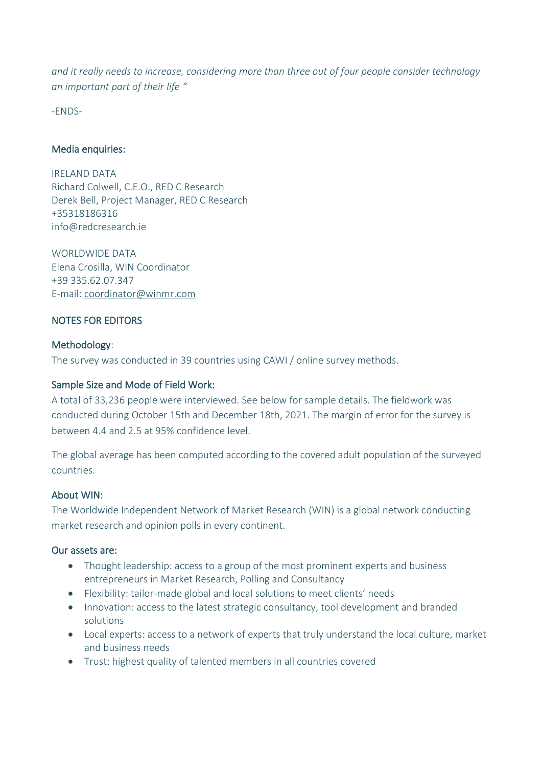*and it really needs to increase, considering more than three out of four people consider technology an important part of their life "*

-ENDS-

## Media enquiries:

IRELAND DATA Richard Colwell, C.E.O., RED C Research Derek Bell, Project Manager, RED C Research +35318186316 info@redcresearch.ie

WORLDWIDE DATA Elena Crosilla, WIN Coordinator +39 335.62.07.347 E-mail: [coordinator@winmr.com](mailto:coordinator@winmr.com)

## NOTES FOR EDITORS

### Methodology:

The survey was conducted in 39 countries using CAWI / online survey methods.

### Sample Size and Mode of Field Work:

A total of 33,236 people were interviewed. See below for sample details. The fieldwork was conducted during October 15th and December 18th, 2021. The margin of error for the survey is between 4.4 and 2.5 at 95% confidence level.

The global average has been computed according to the covered adult population of the surveyed countries.

### About WIN:

The Worldwide Independent Network of Market Research (WIN) is a global network conducting market research and opinion polls in every continent.

### Our assets are:

- Thought leadership: access to a group of the most prominent experts and business entrepreneurs in Market Research, Polling and Consultancy
- Flexibility: tailor-made global and local solutions to meet clients' needs
- Innovation: access to the latest strategic consultancy, tool development and branded solutions
- Local experts: access to a network of experts that truly understand the local culture, market and business needs
- Trust: highest quality of talented members in all countries covered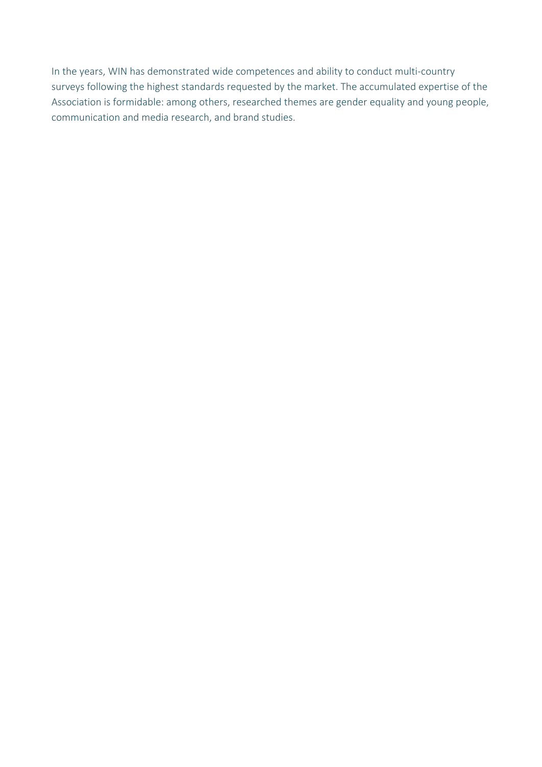In the years, WIN has demonstrated wide competences and ability to conduct multi-country surveys following the highest standards requested by the market. The accumulated expertise of the Association is formidable: among others, researched themes are gender equality and young people, communication and media research, and brand studies.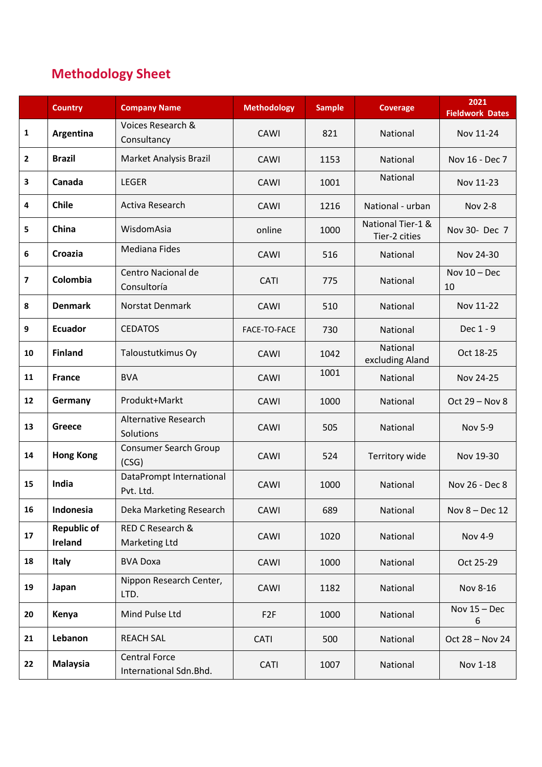## **Methodology Sheet**

|              | <b>Country</b>                | <b>Company Name</b>                            | <b>Methodology</b> | <b>Sample</b> | <b>Coverage</b>                    | 2021<br><b>Fieldwork Dates</b> |
|--------------|-------------------------------|------------------------------------------------|--------------------|---------------|------------------------------------|--------------------------------|
| $\mathbf{1}$ | Argentina                     | Voices Research &<br>Consultancy               | CAWI               | 821           | National                           | Nov 11-24                      |
| $\mathbf{2}$ | <b>Brazil</b>                 | Market Analysis Brazil                         | CAWI               | 1153          | <b>National</b>                    | Nov 16 - Dec 7                 |
| 3            | Canada                        | <b>LEGER</b>                                   | CAWI               | 1001          | National                           | Nov 11-23                      |
| 4            | <b>Chile</b>                  | Activa Research                                | CAWI               | 1216          | National - urban                   | <b>Nov 2-8</b>                 |
| 5            | China                         | WisdomAsia                                     | online             | 1000          | National Tier-1 &<br>Tier-2 cities | Nov 30- Dec 7                  |
| 6            | Croazia                       | <b>Mediana Fides</b>                           | CAWI               | 516           | National                           | Nov 24-30                      |
| 7            | Colombia                      | Centro Nacional de<br>Consultoría              | <b>CATI</b>        | 775           | National                           | Nov $10 - Dec$<br>10           |
| 8            | <b>Denmark</b>                | Norstat Denmark                                | CAWI               | 510           | National                           | Nov 11-22                      |
| 9            | <b>Ecuador</b>                | <b>CEDATOS</b>                                 | FACE-TO-FACE       | 730           | National                           | Dec 1 - 9                      |
| 10           | <b>Finland</b>                | Taloustutkimus Oy                              | CAWI               | 1042          | National<br>excluding Aland        | Oct 18-25                      |
| 11           | <b>France</b>                 | <b>BVA</b>                                     | CAWI               | 1001          | National                           | Nov 24-25                      |
| 12           | Germany                       | Produkt+Markt                                  | CAWI               | 1000          | National                           | Oct 29 - Nov 8                 |
| 13           | <b>Greece</b>                 | <b>Alternative Research</b><br>Solutions       | CAWI               | 505           | National                           | <b>Nov 5-9</b>                 |
| 14           | <b>Hong Kong</b>              | <b>Consumer Search Group</b><br>(CSG)          | CAWI               | 524           | Territory wide                     | Nov 19-30                      |
| 15           | India                         | DataPrompt International<br>Pvt. Ltd.          | CAWI               | 1000          | National                           | Nov 26 - Dec 8                 |
| 16           | Indonesia                     | Deka Marketing Research                        | CAWI               | 689           | National                           | Nov 8 - Dec 12                 |
| 17           | <b>Republic of</b><br>Ireland | RED C Research &<br><b>Marketing Ltd</b>       | CAWI               | 1020          | National                           | <b>Nov 4-9</b>                 |
| 18           | <b>Italy</b>                  | <b>BVA Doxa</b>                                | CAWI               | 1000          | National                           | Oct 25-29                      |
| 19           | Japan                         | Nippon Research Center,<br>LTD.                | CAWI               | 1182          | National                           | Nov 8-16                       |
| 20           | Kenya                         | Mind Pulse Ltd                                 | F <sub>2F</sub>    | 1000          | National                           | Nov $15 - Dec$<br>6            |
| 21           | Lebanon                       | <b>REACH SAL</b>                               | <b>CATI</b>        | 500           | National                           | Oct 28 - Nov 24                |
| 22           | <b>Malaysia</b>               | <b>Central Force</b><br>International Sdn.Bhd. | CATI               | 1007          | National                           | Nov 1-18                       |